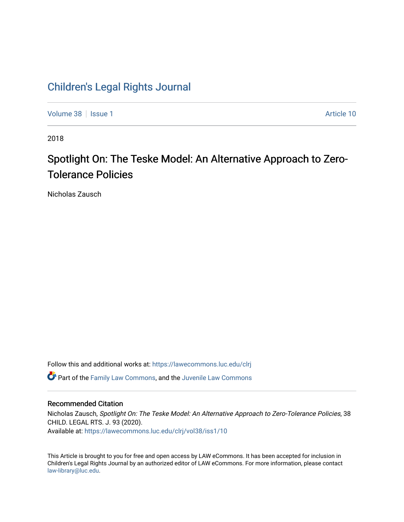## [Children's Legal Rights Journal](https://lawecommons.luc.edu/clrj)

[Volume 38](https://lawecommons.luc.edu/clrj/vol38) | [Issue 1](https://lawecommons.luc.edu/clrj/vol38/iss1) Article 10

2018

# Spotlight On: The Teske Model: An Alternative Approach to Zero-Tolerance Policies

Nicholas Zausch

Follow this and additional works at: [https://lawecommons.luc.edu/clrj](https://lawecommons.luc.edu/clrj?utm_source=lawecommons.luc.edu%2Fclrj%2Fvol38%2Fiss1%2F10&utm_medium=PDF&utm_campaign=PDFCoverPages)

**C** Part of the [Family Law Commons,](http://network.bepress.com/hgg/discipline/602?utm_source=lawecommons.luc.edu%2Fclrj%2Fvol38%2Fiss1%2F10&utm_medium=PDF&utm_campaign=PDFCoverPages) and the Juvenile Law Commons

#### Recommended Citation

Nicholas Zausch, Spotlight On: The Teske Model: An Alternative Approach to Zero-Tolerance Policies, 38 CHILD. LEGAL RTS. J. 93 (2020). Available at: [https://lawecommons.luc.edu/clrj/vol38/iss1/10](https://lawecommons.luc.edu/clrj/vol38/iss1/10?utm_source=lawecommons.luc.edu%2Fclrj%2Fvol38%2Fiss1%2F10&utm_medium=PDF&utm_campaign=PDFCoverPages) 

This Article is brought to you for free and open access by LAW eCommons. It has been accepted for inclusion in Children's Legal Rights Journal by an authorized editor of LAW eCommons. For more information, please contact [law-library@luc.edu](mailto:law-library@luc.edu).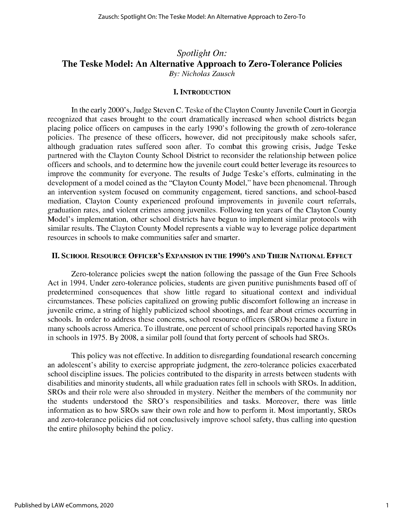### *Spotlight On:* **The Teske Model: An Alternative Approach to Zero-Tolerance Policies** *By: Nicholas Zausch*

#### **I. INTRODUCTION**

In the early 2000's, Judge Steven **C.** Teske of the Clayton County Juvenile Court in Georgia recognized that cases brought to the court dramatically increased when school districts began placing police officers on campuses in the early 1990's following the growth of zero-tolerance policies. The presence of these officers, however, did not precipitously make schools safer, although graduation rates suffered soon after. To combat this growing crisis, Judge Teske partnered with the Clayton County School District to reconsider the relationship between police officers and schools, and to determine how the juvenile court could better leverage its resources to improve the community for everyone. The results of Judge Teske's efforts, culminating in the development of a model coined as the "Clayton County Model," have been phenomenal. Through an intervention system focused on community engagement, tiered sanctions, and school-based mediation, Clayton County experienced profound improvements in juvenile court referrals, graduation rates, and violent crimes among juveniles. Following ten years of the Clayton County Model's implementation, other school districts have begun to implement similar protocols with similar results. The Clayton County Model represents a viable way to leverage police department resources in schools to make communities safer and smarter.

#### **II. SCHOOL RESOURCE OFFICER'S EXPANSION IN THE 1990'S AND THEIR NATIONAL EFFECT**

Zero-tolerance policies swept the nation following the passage of the Gun Free Schools Act in 1994. Under zero-tolerance policies, students are given punitive punishments based off of predetermined consequences that show little regard to situational context and individual circumstances. These policies capitalized on growing public discomfort following an increase in juvenile crime, a string of **highly** publicized school shootings, and fear about crimes occurring in schools. In order to address these concerns, school resource officers (SROs) became a fixture in many schools across America. To illustrate, one percent of school principals reported having SROs in schools in *1975.* **By 2008,** a similar poll found that forty percent of schools had SROs.

This policy was not effective. In addition to disregarding foundational research concerning an adolescent's ability to exercise appropriate judgment, the zero-tolerance policies exacerbated school discipline issues. The policies contributed to the disparity in arrests between students with disabilities and minority students, all while graduation rates fell in schools with SROs. In addition, SROs and their role were also shrouded in mystery. Neither the members of the community nor the students understood the SRO's responsibilities and tasks. Moreover, there was little information as to how SROs saw their own role and how to perform it. Most importantly, SROs and zero-tolerance policies did not conclusively improve school safety, thus calling into question the entire philosophy behind the policy.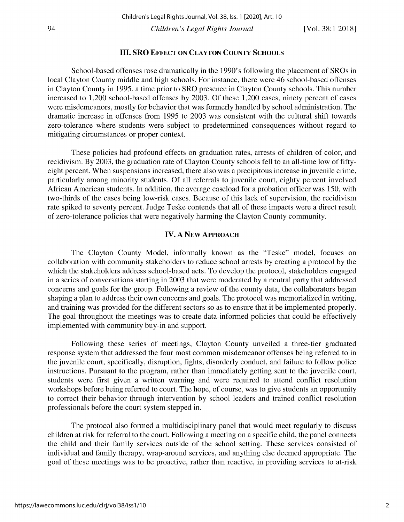#### **III. SRO EFFECT ON CLAYTON COUNTY SCHOOLS**

School-based offenses rose dramatically in the 1990's following the placement of SROs in local Clayton County middle and high schools. For instance, there were 46 school-based offenses in Clayton County in *1995,* a time prior to SRO presence in Clayton County schools. This number increased to 1,200 school-based offenses **by 2003. Of** these 1,200 cases, ninety percent of cases were misdemeanors, mostly for behavior that was formerly handled **by** school administration. The dramatic increase in offenses from *1995* to **2003** was consistent with the cultural shift towards zero-tolerance where students were subject to predetermined consequences without regard to mitigating circumstances or proper context.

These policies had profound effects on graduation rates, arrests of children of color, and recidivism. **By 2003,** the graduation rate of Clayton County schools fell to an all-time low of **fifty**eight percent. When suspensions increased, there also was a precipitous increase in juvenile crime, particularly among minority students. **Of** all referrals to juvenile court, eighty percent involved African American students. In addition, the average caseload for a probation officer was **150,** with two-thirds of the cases being low-risk cases. Because of this lack of supervision, the recidivism rate spiked to seventy percent. Judge Teske contends that all of these impacts were a direct result of zero-tolerance policies that were negatively harming the Clayton County community.

#### **IV. A** NEW **APPROACH**

The Clayton County Model, informally known as the "Teske" model, focuses on collaboration with community stakeholders to reduce school arrests **by** creating a protocol **by** the which the stakeholders address school-based acts. To develop the protocol, stakeholders engaged in a series of conversations starting in **2003** that were moderated **by** a neutral party that addressed concerns and goals for the group. Following a review of the county data, the collaborators began shaping a plan to address their own concerns and goals. The protocol was memorialized in writing, and training was provided for the different sectors so as to ensure that it be implemented properly. The goal throughout the meetings was to create data-informed policies that could be effectively implemented with community buy-in and support.

Following these series of meetings, Clayton County unveiled a three-tier graduated response system that addressed the four most common misdemeanor offenses being referred to in the juvenile court, specifically, disruption, fights, disorderly conduct, and failure to follow police instructions. Pursuant to the program, rather than immediately getting sent to the juvenile court, students were first given a written warning and were required to attend conflict resolution workshops before being referred to court. The hope, of course, was to give students an opportunity to correct their behavior through intervention **by** school leaders and trained conflict resolution professionals before the court system stepped in.

The protocol also formed a multidisciplinary panel that would meet regularly to discuss children at risk for referral to the court. Following a meeting on a specific child, the panel connects the child and their family services outside of the school setting. These services consisted of individual and family therapy, wrap-around services, and anything else deemed appropriate. The goal of these meetings was to be proactive, rather than reactive, in providing services to at-risk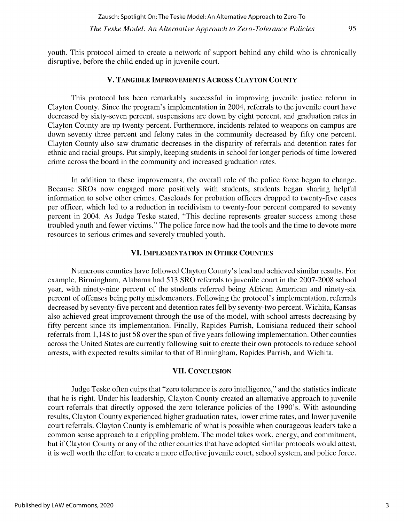#### **V. TANGIBLE IMPROVEMENTS ACROSS CLAYTON COUNTY**

This protocol has been remarkably successful in improving juvenile justice reform in Clayton County. Since the program's implementation in 2004, referrals to the juvenile court have decreased **by** sixty-seven percent, suspensions are down **by** eight percent, and graduation rates in Clayton County are up twenty percent. Furthermore, incidents related to weapons on campus are down seventy-three percent and felony rates in the community decreased **by** fifty-one percent. Clayton County also saw dramatic decreases in the disparity of referrals and detention rates for ethnic and racial groups. Put simply, keeping students in school for longer periods of time lowered crime across the board in the community and increased graduation rates.

In addition to these improvements, the overall role of the police force began to change. Because SROs now engaged more positively with students, students began sharing helpful information to solve other crimes. Caseloads for probation officers dropped to twenty-five cases per officer, which led to a reduction in recidivism to twenty-four percent compared to seventy percent in 2004. As Judge Teske stated, "This decline represents greater success among these troubled youth and fewer victims." The police force now had the tools and the time to devote more resources to serious crimes and severely troubled youth.

#### **VI. IMPLEMENTATION IN OTHER COUNTIES**

Numerous counties have followed Clayton County's lead and achieved similar results. For example, Birmingham, Alabama had **513** SRO referrals to juvenile court in the **2007-2008** school year, with ninety-nine percent of the students referred being African American and ninety-six percent of offenses being petty misdemeanors. Following the protocol's implementation, referrals decreased **by** seventy-five percent and detention rates fell **by** seventy-two percent. Wichita, Kansas also achieved great improvement through the use of the model, with school arrests decreasing **by fifty** percent since its implementation. Finally, Rapides Parrish, Louisiana reduced their school referrals from **1,148** to just **58** over the span of five years following implementation. Other counties across the United States are currently following suit to create their own protocols to reduce school arrests, with expected results similar to that of Birmingham, Rapides Parrish, and Wichita.

#### **VII. CONCLUSION**

Judge Teske often quips that "zero tolerance is zero intelligence," and the statistics indicate that he is right. Under his leadership, Clayton County created an alternative approach to juvenile court referrals that directly opposed the zero tolerance policies of the 1990's. With astounding results, Clayton County experienced higher graduation rates, lower crime rates, and lower juvenile court referrals. Clayton County is emblematic of what is possible when courageous leaders take a common sense approach to a crippling problem. The model takes work, energy, and commitment, but if Clayton County or any of the other counties that have adopted similar protocols would attest, it is well worth the effort to create a more effective juvenile court, school system, and police force.

**95**